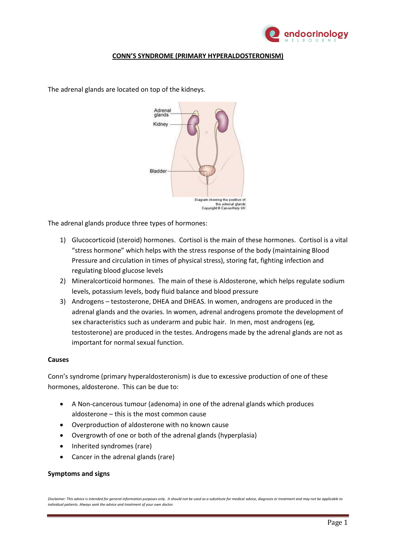

# **CONN'S SYNDROME (PRIMARY HYPERALDOSTERONISM)**

The adrenal glands are located on top of the kidneys.



The adrenal glands produce three types of hormones:

- 1) Glucocorticoid (steroid) hormones. Cortisol is the main of these hormones. Cortisol is a vital "stress hormone" which helps with the stress response of the body (maintaining Blood Pressure and circulation in times of physical stress), storing fat, fighting infection and regulating blood glucose levels
- 2) Mineralcorticoid hormones. The main of these is Aldosterone, which helps regulate sodium levels, potassium levels, body fluid balance and blood pressure
- 3) Androgens testosterone, DHEA and DHEAS. In women, androgens are produced in the adrenal glands and the ovaries. In women, adrenal androgens promote the development of sex characteristics such as underarm and pubic hair. In men, most androgens (eg, testosterone) are produced in the testes. Androgens made by the adrenal glands are not as important for normal sexual function.

## **Causes**

Conn's syndrome (primary hyperaldosteronism) is due to excessive production of one of these hormones, aldosterone. This can be due to:

- A Non-cancerous tumour (adenoma) in one of the adrenal glands which produces aldosterone – this is the most common cause
- Overproduction of aldosterone with no known cause
- Overgrowth of one or both of the adrenal glands (hyperplasia)
- Inherited syndromes (rare)
- Cancer in the adrenal glands (rare)

## **Symptoms and signs**

*Disclaimer: This advice is intended for general information purposes only. It should not be used as a substitute for medical advice, diagnosis or treatment and may not be applicable to individual patients. Always seek the advice and treatment of your own doctor.*